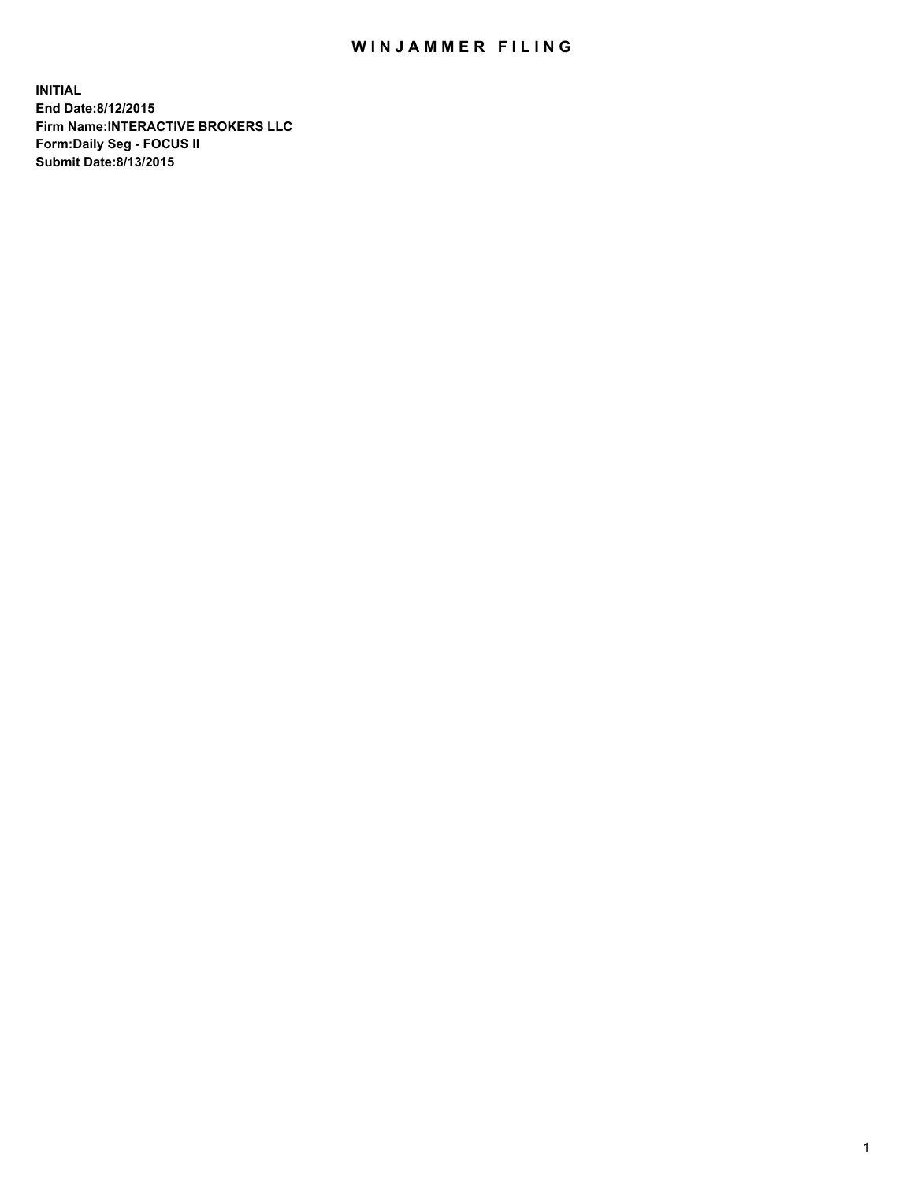## WIN JAMMER FILING

**INITIAL End Date:8/12/2015 Firm Name:INTERACTIVE BROKERS LLC Form:Daily Seg - FOCUS II Submit Date:8/13/2015**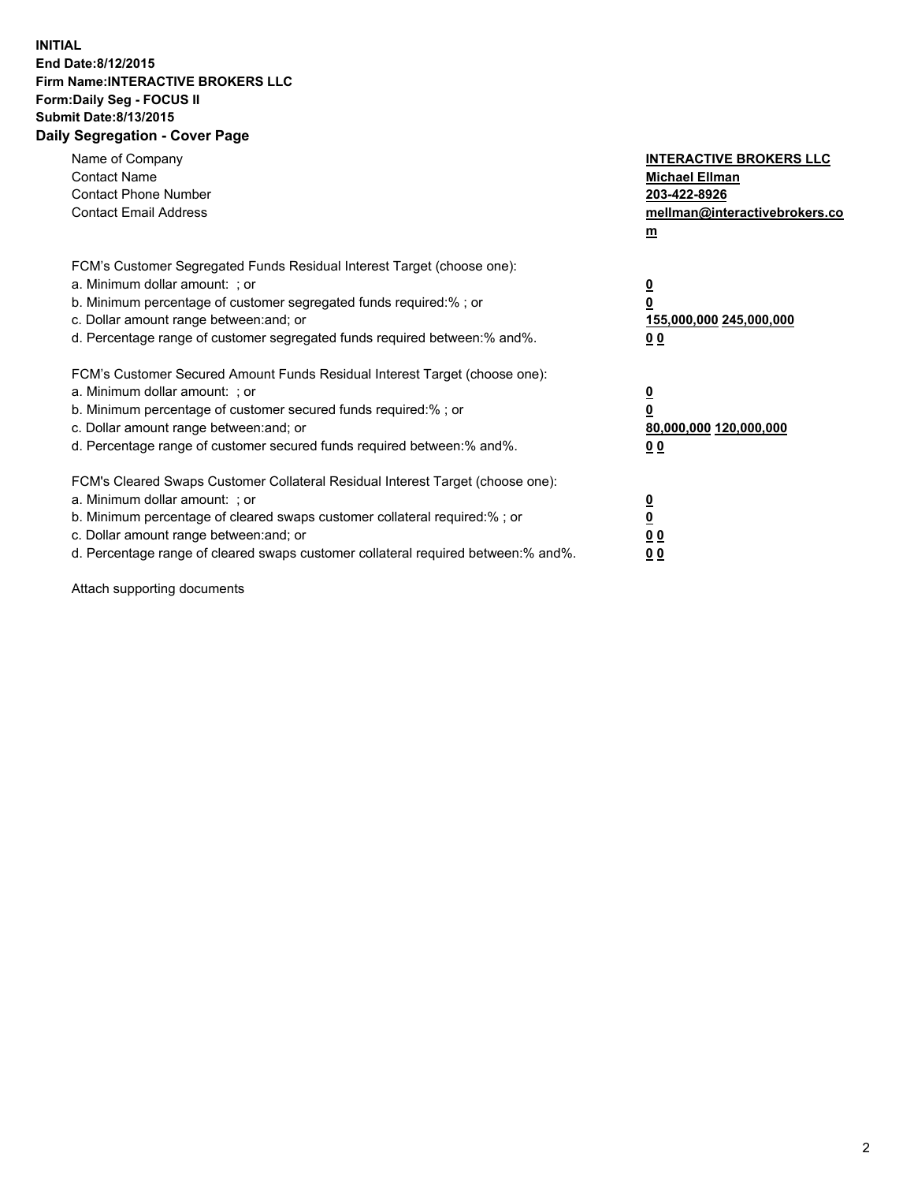## **INITIAL End Date:8/12/2015 Firm Name:INTERACTIVE BROKERS LLC Form:Daily Seg - FOCUS II Submit Date:8/13/2015 Daily Segregation - Cover Page**

| Name of Company<br><b>Contact Name</b><br><b>Contact Phone Number</b><br><b>Contact Email Address</b>                                                                                                                                                                                                                          | <b>INTERACTIVE BROKERS LLC</b><br><b>Michael Ellman</b><br>203-422-8926<br>mellman@interactivebrokers.co<br>$m$ |
|--------------------------------------------------------------------------------------------------------------------------------------------------------------------------------------------------------------------------------------------------------------------------------------------------------------------------------|-----------------------------------------------------------------------------------------------------------------|
| FCM's Customer Segregated Funds Residual Interest Target (choose one):<br>a. Minimum dollar amount: ; or<br>b. Minimum percentage of customer segregated funds required:% ; or<br>c. Dollar amount range between: and; or<br>d. Percentage range of customer segregated funds required between:% and%.                         | $\overline{\mathbf{0}}$<br>0<br>155,000,000 245,000,000<br>0 <sub>0</sub>                                       |
| FCM's Customer Secured Amount Funds Residual Interest Target (choose one):<br>a. Minimum dollar amount: ; or<br>b. Minimum percentage of customer secured funds required:%; or<br>c. Dollar amount range between: and; or<br>d. Percentage range of customer secured funds required between: % and %.                          | $\underline{\mathbf{0}}$<br>0<br>80,000,000 120,000,000<br>0 <sub>0</sub>                                       |
| FCM's Cleared Swaps Customer Collateral Residual Interest Target (choose one):<br>a. Minimum dollar amount: ; or<br>b. Minimum percentage of cleared swaps customer collateral required:% ; or<br>c. Dollar amount range between: and; or<br>d. Percentage range of cleared swaps customer collateral required between:% and%. | $\overline{\mathbf{0}}$<br>$\overline{\mathbf{0}}$<br>0 <sub>0</sub><br>0 <sup>0</sup>                          |

Attach supporting documents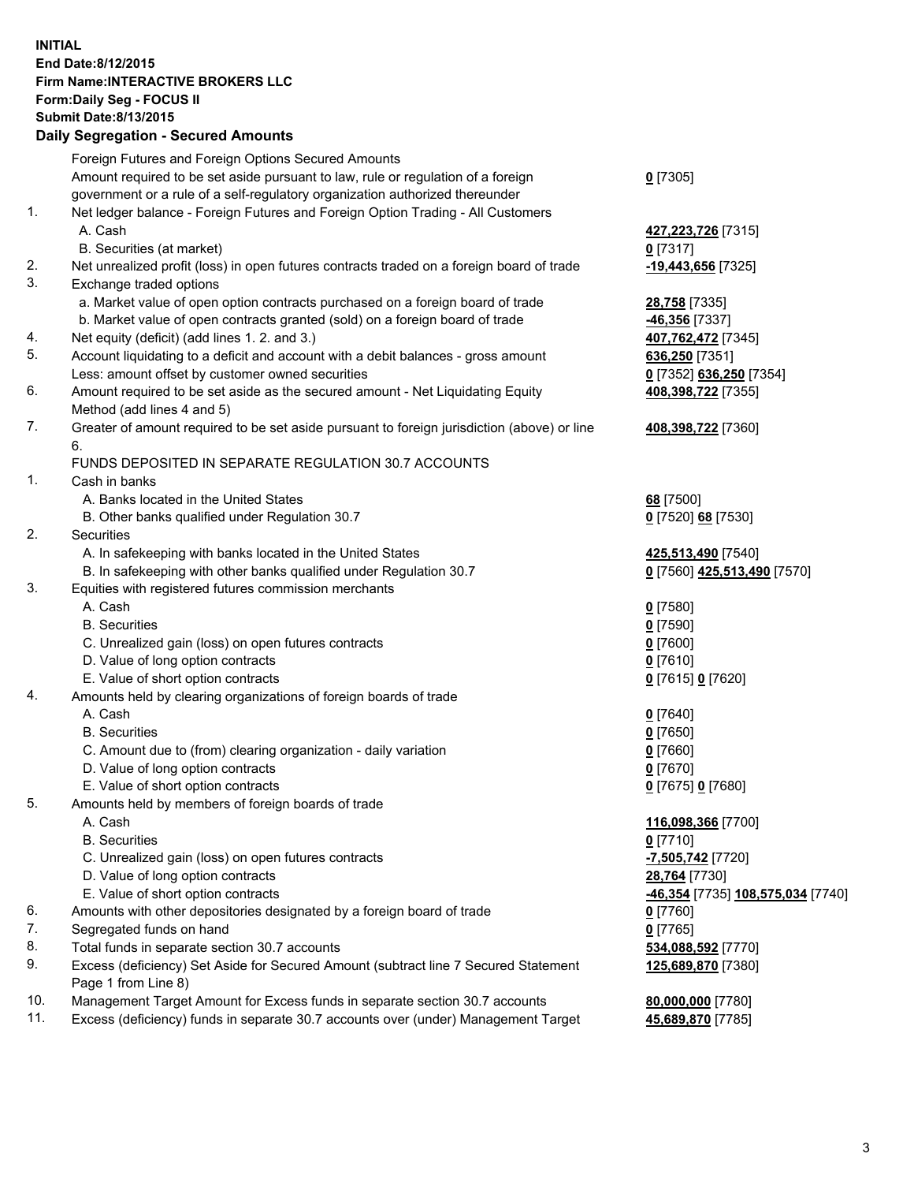## **INITIAL End Date:8/12/2015 Firm Name:INTERACTIVE BROKERS LLC Form:Daily Seg - FOCUS II Submit Date:8/13/2015 Daily Segregation - Secured Amounts**

|                | Daily Jegregation - Jeculed Aniounts                                                                       |                                                |
|----------------|------------------------------------------------------------------------------------------------------------|------------------------------------------------|
|                | Foreign Futures and Foreign Options Secured Amounts                                                        |                                                |
|                | Amount required to be set aside pursuant to law, rule or regulation of a foreign                           | $0$ [7305]                                     |
|                | government or a rule of a self-regulatory organization authorized thereunder                               |                                                |
| 1.             | Net ledger balance - Foreign Futures and Foreign Option Trading - All Customers                            |                                                |
|                | A. Cash                                                                                                    | 427,223,726 [7315]                             |
|                | B. Securities (at market)                                                                                  | $0$ [7317]                                     |
| 2.             | Net unrealized profit (loss) in open futures contracts traded on a foreign board of trade                  | -19,443,656 [7325]                             |
| 3.             | Exchange traded options                                                                                    |                                                |
|                | a. Market value of open option contracts purchased on a foreign board of trade                             | 28,758 [7335]                                  |
|                | b. Market value of open contracts granted (sold) on a foreign board of trade                               | -46,356 [7337]                                 |
| 4.             | Net equity (deficit) (add lines 1.2. and 3.)                                                               | 407,762,472 [7345]                             |
| 5.             | Account liquidating to a deficit and account with a debit balances - gross amount                          | 636,250 [7351]                                 |
|                | Less: amount offset by customer owned securities                                                           | 0 [7352] 636,250 [7354]                        |
| 6.             | Amount required to be set aside as the secured amount - Net Liquidating Equity                             | 408,398,722 [7355]                             |
|                | Method (add lines 4 and 5)                                                                                 |                                                |
| 7.             | Greater of amount required to be set aside pursuant to foreign jurisdiction (above) or line                | 408,398,722 [7360]                             |
|                | 6.                                                                                                         |                                                |
|                | FUNDS DEPOSITED IN SEPARATE REGULATION 30.7 ACCOUNTS                                                       |                                                |
| 1 <sub>1</sub> | Cash in banks                                                                                              |                                                |
|                | A. Banks located in the United States                                                                      | 68 [7500]                                      |
|                | B. Other banks qualified under Regulation 30.7                                                             | 0 [7520] 68 [7530]                             |
| 2.             | Securities                                                                                                 |                                                |
|                | A. In safekeeping with banks located in the United States                                                  | 425,513,490 [7540]                             |
|                | B. In safekeeping with other banks qualified under Regulation 30.7                                         | 0 [7560] 425,513,490 [7570]                    |
| 3.             | Equities with registered futures commission merchants                                                      |                                                |
|                | A. Cash                                                                                                    | $0$ [7580]                                     |
|                | <b>B.</b> Securities                                                                                       | $0$ [7590]                                     |
|                | C. Unrealized gain (loss) on open futures contracts                                                        | $0$ [7600]                                     |
|                | D. Value of long option contracts                                                                          | $0$ [7610]                                     |
|                | E. Value of short option contracts                                                                         | 0 [7615] 0 [7620]                              |
| 4.             | Amounts held by clearing organizations of foreign boards of trade                                          |                                                |
|                | A. Cash                                                                                                    | $0$ [7640]                                     |
|                | <b>B.</b> Securities                                                                                       | $0$ [7650]                                     |
|                | C. Amount due to (from) clearing organization - daily variation                                            | $0$ [7660]                                     |
|                | D. Value of long option contracts                                                                          | $0$ [7670]                                     |
|                | E. Value of short option contracts                                                                         | 0 [7675] 0 [7680]                              |
| 5.             | Amounts held by members of foreign boards of trade                                                         |                                                |
|                | A. Cash                                                                                                    | 116,098,366 [7700]                             |
|                | <b>B.</b> Securities                                                                                       | $0$ [7710]                                     |
|                | C. Unrealized gain (loss) on open futures contracts                                                        | -7,505,742 [7720]                              |
|                | D. Value of long option contracts                                                                          | 28,764 [7730]                                  |
|                | E. Value of short option contracts                                                                         | <mark>-46,354</mark> [7735] 108,575,034 [7740] |
| 6.             | Amounts with other depositories designated by a foreign board of trade                                     | $0$ [7760]                                     |
| 7.             | Segregated funds on hand                                                                                   | $0$ [7765]                                     |
| 8.             | Total funds in separate section 30.7 accounts                                                              | 534,088,592 [7770]                             |
| 9.             | Excess (deficiency) Set Aside for Secured Amount (subtract line 7 Secured Statement<br>Page 1 from Line 8) | 125,689,870 [7380]                             |
| 10.            | Management Target Amount for Excess funds in separate section 30.7 accounts                                | 80,000,000 [7780]                              |
| 11.            | Excess (deficiency) funds in separate 30.7 accounts over (under) Management Target                         | 45,689,870 [7785]                              |
|                |                                                                                                            |                                                |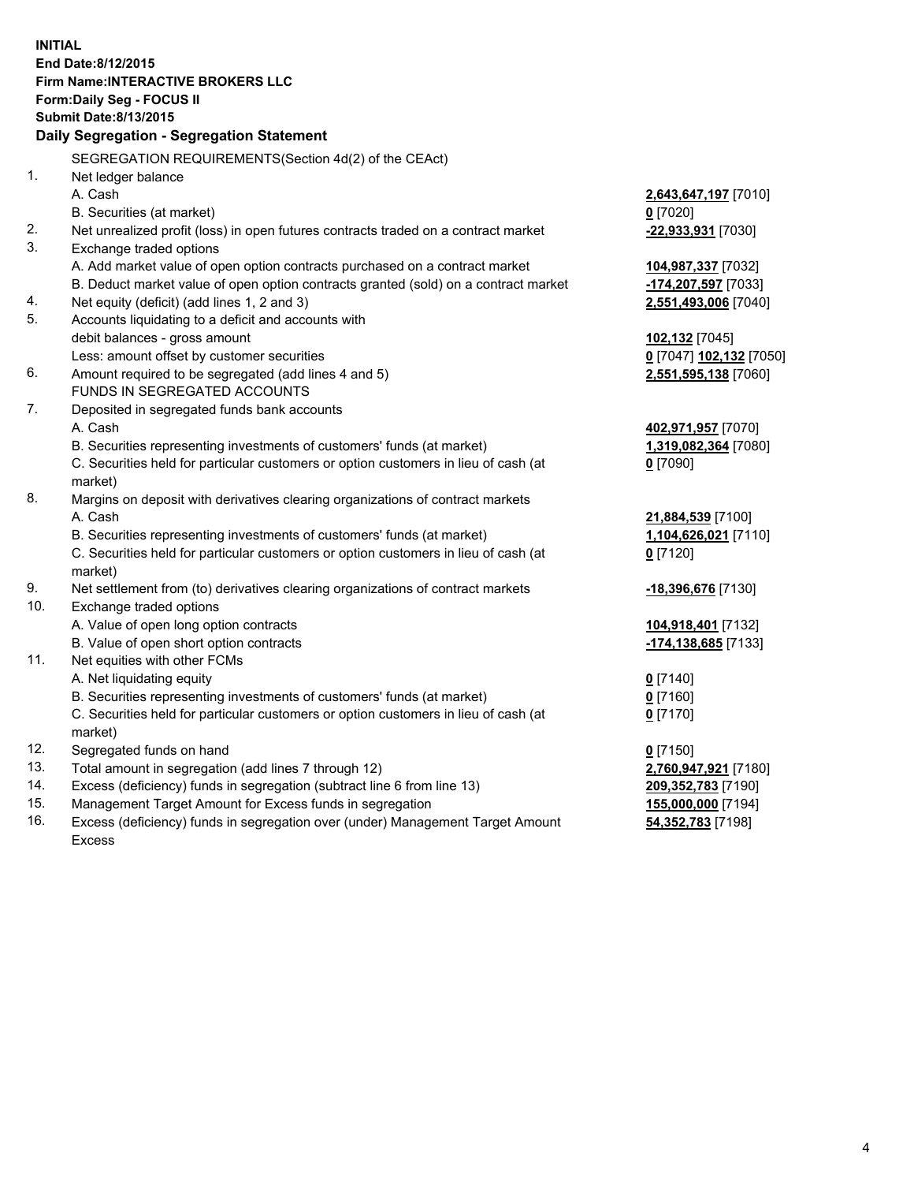**INITIAL End Date:8/12/2015 Firm Name:INTERACTIVE BROKERS LLC Form:Daily Seg - FOCUS II Submit Date:8/13/2015 Daily Segregation - Segregation Statement** SEGREGATION REQUIREMENTS(Section 4d(2) of the CEAct) 1. Net ledger balance A. Cash **2,643,647,197** [7010] B. Securities (at market) **0** [7020] 2. Net unrealized profit (loss) in open futures contracts traded on a contract market **-22,933,931** [7030] 3. Exchange traded options A. Add market value of open option contracts purchased on a contract market **104,987,337** [7032] B. Deduct market value of open option contracts granted (sold) on a contract market **-174,207,597** [7033] 4. Net equity (deficit) (add lines 1, 2 and 3) **2,551,493,006** [7040] 5. Accounts liquidating to a deficit and accounts with debit balances - gross amount **102,132** [7045] Less: amount offset by customer securities **0** [7047] **102,132** [7050] 6. Amount required to be segregated (add lines 4 and 5) **2,551,595,138** [7060] FUNDS IN SEGREGATED ACCOUNTS 7. Deposited in segregated funds bank accounts A. Cash **402,971,957** [7070] B. Securities representing investments of customers' funds (at market) **1,319,082,364** [7080] C. Securities held for particular customers or option customers in lieu of cash (at market) **0** [7090] 8. Margins on deposit with derivatives clearing organizations of contract markets A. Cash **21,884,539** [7100] B. Securities representing investments of customers' funds (at market) **1,104,626,021** [7110] C. Securities held for particular customers or option customers in lieu of cash (at market) **0** [7120] 9. Net settlement from (to) derivatives clearing organizations of contract markets **-18,396,676** [7130] 10. Exchange traded options A. Value of open long option contracts **104,918,401** [7132] B. Value of open short option contracts **-174,138,685** [7133] 11. Net equities with other FCMs A. Net liquidating equity **0** [7140] B. Securities representing investments of customers' funds (at market) **0** [7160] C. Securities held for particular customers or option customers in lieu of cash (at market) **0** [7170] 12. Segregated funds on hand **0** [7150] 13. Total amount in segregation (add lines 7 through 12) **2,760,947,921** [7180] 14. Excess (deficiency) funds in segregation (subtract line 6 from line 13) **209,352,783** [7190] 15. Management Target Amount for Excess funds in segregation **155,000,000** [7194]

16. Excess (deficiency) funds in segregation over (under) Management Target Amount Excess

**54,352,783** [7198]